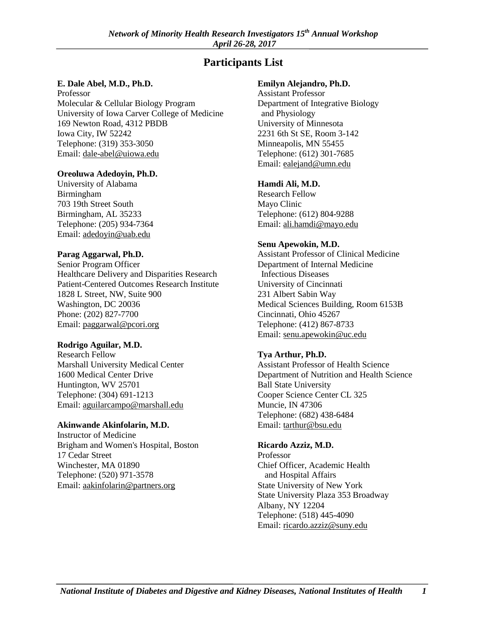# **Participants List**

#### **E. Dale Abel, M.D., Ph.D.**

Professor Molecular & Cellular Biology Program University of Iowa Carver College of Medicine 169 Newton Road, 4312 PBDB Iowa City, IW 52242 Telephone: (319) 353-3050 Email: [dale-abel@uiowa.edu](mailto:dale-abel@uiowa.edu) 

#### **Oreoluwa Adedoyin, Ph.D.**

University of Alabama Birmingham 703 19th Street South Birmingham, AL 35233 Telephone: (205) 934-7364 Email: [adedoyin@uab.edu](mailto:adedoyin@uab.edu) 

#### **Parag Aggarwal, Ph.D.**

Senior Program Officer Healthcare Delivery and Disparities Research Patient-Centered Outcomes Research Institute 1828 L Street, NW, Suite 900 Washington, DC 20036 Phone: (202) 827-7700 Email: [paggarwal@pcori.org](mailto:paggarwal@pcori.org) 

#### **Rodrigo Aguilar, M.D.**

Research Fellow Marshall University Medical Center 1600 Medical Center Drive Huntington, WV 25701 Telephone: (304) 691-1213 Email: [aguilarcampo@marshall.edu](mailto:aguilarcampo@marshall.edu) 

#### **Akinwande Akinfolarin, M.D.**

Instructor of Medicine Brigham and Women's Hospital, Boston 17 Cedar Street Winchester, MA 01890 Telephone: (520) 971-3578 Email: [aakinfolarin@partners.org](mailto:aakinfolarin@partners.org) 

#### **Emilyn Alejandro, Ph.D.**

Assistant Professor Department of Integrative Biology and Physiology University of Minnesota 2231 6th St SE, Room 3-142 Minneapolis, MN 55455 Telephone: (612) 301-7685 Email: [ealejand@umn.edu](mailto:ealejand@umn.edu) 

#### **Hamdi Ali, M.D.**

Research Fellow Mayo Clinic Telephone: (612) 804-9288 Email: [ali.hamdi@mayo.edu](mailto:ali.hamdi@mayo.edu) 

#### **Senu Apewokin, M.D.**

Assistant Professor of Clinical Medicine Department of Internal Medicine Infectious Diseases University of Cincinnati 231 Albert Sabin Way Medical Sciences Building, Room 6153B Cincinnati, Ohio 45267 Telephone: (412) 867-8733 Email: [senu.apewokin@uc.edu](mailto:senu.apewokin@uc.edu) 

### **Tya Arthur, Ph.D.**

Assistant Professor of Health Science Department of Nutrition and Health Science Ball State University Cooper Science Center CL 325 Muncie, IN 47306 Telephone: (682) 438-6484 Email: [tarthur@bsu.edu](mailto:tarthur@bsu.edu) 

#### **Ricardo Azziz, M.D.**

Professor Chief Officer, Academic Health and Hospital Affairs State University of New York State University Plaza 353 Broadway Albany, NY 12204 Telephone: (518) 445-4090 Email: [ricardo.azziz@suny.edu](mailto:ricardo.azziz@suny.edu)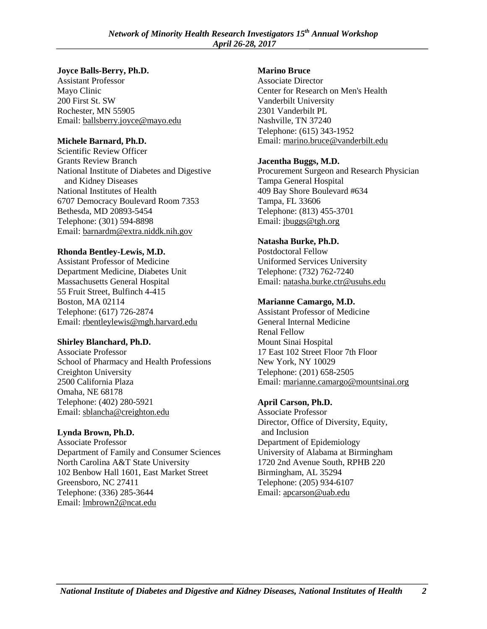#### **Joyce Balls-Berry, Ph.D.**

Assistant Professor Mayo Clinic 200 First St. SW Rochester, MN 55905 Email: [ballsberry.joyce@mayo.edu](mailto:ballsberry.joyce@mayo.edu) 

## **Michele Barnard, Ph.D.**

Scientific Review Officer Grants Review Branch National Institute of Diabetes and Digestive and Kidney Diseases National Institutes of Health 6707 Democracy Boulevard Room 7353 Bethesda, MD 20893-5454 Telephone: (301) 594-8898 Email: [barnardm@extra.niddk.nih.gov](mailto:barnardm@extra.niddk.nih.gov) 

## **Rhonda Bentley-Lewis, M.D.**

Assistant Professor of Medicine Department Medicine, Diabetes Unit Massachusetts General Hospital 55 Fruit Street, Bulfinch 4-415 Boston, MA 02114 Telephone: (617) 726-2874 Email: [rbentleylewis@mgh.harvard.edu](mailto:rbentleylewis@mgh.harvard.edu) 

### **Shirley Blanchard, Ph.D.**

Associate Professor School of Pharmacy and Health Professions Creighton University 2500 California Plaza Omaha, NE 68178 Telephone: (402) 280-5921 Email: [sblancha@creighton.edu](mailto:sblancha@creighton.edu) 

## **Lynda Brown, Ph.D.**

Associate Professor Department of Family and Consumer Sciences North Carolina A&T State University 102 Benbow Hall 1601, East Market Street Greensboro, NC 27411 Telephone: (336) 285-3644 Email: [lmbrown2@ncat.edu](mailto:lmbrown2@ncat.edu) 

## **Marino Bruce**

Associate Director Center for Research on Men's Health Vanderbilt University 2301 Vanderbilt PL Nashville, TN 37240 Telephone: (615) 343-1952 Email: [marino.bruce@vanderbilt.edu](mailto:marino.bruce@vanderbilt.edu) 

## **Jacentha Buggs, M.D.**

Procurement Surgeon and Research Physician Tampa General Hospital 409 Bay Shore Boulevard #634 Tampa, FL 33606 Telephone: (813) 455-3701 Email: [jbuggs@tgh.org](mailto:jbuggs@tgh.org) 

## **Natasha Burke, Ph.D.**

Postdoctoral Fellow Uniformed Services University Telephone: (732) 762-7240 Email: [natasha.burke.ctr@usuhs.edu](mailto:natasha.burke.ctr@usuhs.edu) 

## **Marianne Camargo, M.D.**

Assistant Professor of Medicine General Internal Medicine Renal Fellow Mount Sinai Hospital 17 East 102 Street Floor 7th Floor New York, NY 10029 Telephone: (201) 658-2505 Email: [marianne.camargo@mountsinai.org](mailto:marianne.camargo@mountsinai.org) 

## **April Carson, Ph.D.**

Associate Professor Director, Office of Diversity, Equity, and Inclusion Department of Epidemiology University of Alabama at Birmingham 1720 2nd Avenue South, RPHB 220 Birmingham, AL 35294 Telephone: (205) 934-6107 Email: [apcarson@uab.edu](mailto:apcarson@uab.edu)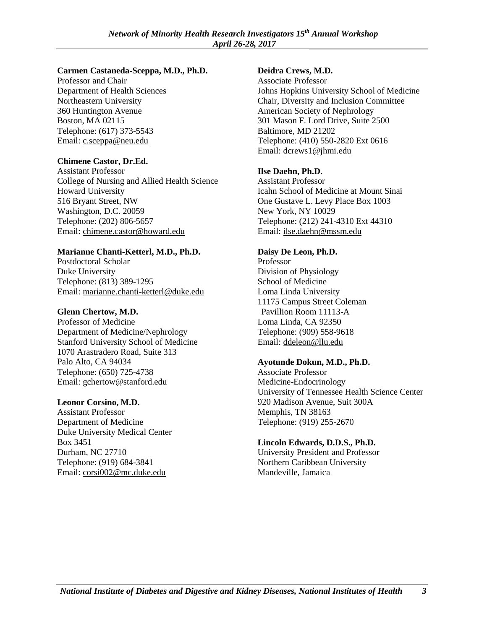#### **Carmen Castaneda-Sceppa, M.D., Ph.D.**

Professor and Chair Department of Health Sciences Northeastern University 360 Huntington Avenue Boston, MA 02115 Telephone: (617) 373-5543 Email: [c.sceppa@neu.edu](mailto:c.sceppa@neu.edu) 

## **Chimene Castor, Dr.Ed.**

Assistant Professor College of Nursing and Allied Health Science Howard University 516 Bryant Street, NW Washington, D.C. 20059 Telephone: (202) 806-5657 Email: [chimene.castor@howard.edu](mailto:chimene.castor@howard.edu) 

## **Marianne Chanti-Ketterl, M.D., Ph.D.**

Postdoctoral Scholar Duke University Telephone: (813) 389-1295 Email: [marianne.chanti-ketterl@duke.edu](mailto:marianne.chanti-ketterl@duke.edu) 

## **Glenn Chertow, M.D.**

Professor of Medicine Department of Medicine/Nephrology Stanford University School of Medicine 1070 Arastradero Road, Suite 313 Palo Alto, CA 94034 Telephone: (650) 725-4738 Email: [gchertow@stanford.edu](mailto:gchertow@stanford.edu) 

### **Leonor Corsino, M.D.**

Assistant Professor Department of Medicine Duke University Medical Center Box 3451 Durham, NC 27710 Telephone: (919) 684-3841 Email: [corsi002@mc.duke.edu](mailto:corsi002@mc.duke.edu) 

## **Deidra Crews, M.D.**

Associate Professor Johns Hopkins University School of Medicine Chair, Diversity and Inclusion Committee American Society of Nephrology 301 Mason F. Lord Drive, Suite 2500 Baltimore, MD 21202 Telephone: (410) 550-2820 Ext 0616 Email: [dcrews1@jhmi.edu](mailto:dcrews1@jhmi.edu) 

## **Ilse Daehn, Ph.D.**

Assistant Professor Icahn School of Medicine at Mount Sinai One Gustave L. Levy Place Box 1003 New York, NY 10029 Telephone: (212) 241-4310 Ext 44310 Email: [ilse.daehn@mssm.edu](mailto:ilse.daehn@mssm.edu) 

## **Daisy De Leon, Ph.D.**

Professor Division of Physiology School of Medicine Loma Linda University 11175 Campus Street Coleman Pavillion Room 11113-A Loma Linda, CA 92350 Telephone: (909) 558-9618 Email: [ddeleon@llu.edu](mailto:ddeleon@llu.edu) 

### **Ayotunde Dokun, M.D., Ph.D.**

Associate Professor Medicine-Endocrinology University of Tennessee Health Science Center 920 Madison Avenue, Suit 300A Memphis, TN 38163 Telephone: (919) 255-2670

### **Lincoln Edwards, D.D.S., Ph.D.**

University President and Professor Northern Caribbean University Mandeville, Jamaica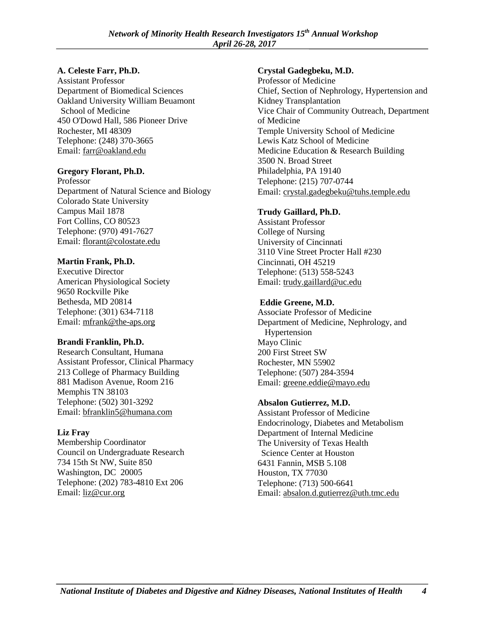#### **A. Celeste Farr, Ph.D.**

Assistant Professor Department of Biomedical Sciences Oakland University William Beuamont School of Medicine 450 O'Dowd Hall, 586 Pioneer Drive Rochester, MI 48309 Telephone: (248) 370-3665 Email: [farr@oakland.edu](mailto:farr@oakland.edu) 

#### **Gregory Florant, Ph.D.**

Professor Department of Natural Science and Biology Colorado State University Campus Mail 1878 Fort Collins, CO 80523 Telephone: (970) 491-7627 Email: [florant@colostate.edu](mailto:florant@colostate.edu) 

### **Martin Frank, Ph.D.**

Executive Director American Physiological Society 9650 Rockville Pike Bethesda, MD 20814 Telephone: (301) 634-7118 Email: [mfrank@the-aps.org](mailto:mfrank@the-aps.org) 

### **Brandi Franklin, Ph.D.**

Research Consultant, Humana Assistant Professor, Clinical Pharmacy 213 College of Pharmacy Building 881 Madison Avenue, Room 216 Memphis TN 38103 Telephone: (502) 301-3292 Email: [bfranklin5@humana.com](mailto:bfranklin5@humana.com) 

### **Liz Fray**

Membership Coordinator Council on Undergraduate Research 734 15th St NW, Suite 850 Washington, DC 20005 Telephone: (202) 783-4810 Ext 206 Email: [liz@cur.org](mailto:liz@cur.org) 

### **Crystal Gadegbeku, M.D.**

Professor of Medicine Chief, Section of Nephrology, Hypertension and Kidney Transplantation Vice Chair of Community Outreach, Department of Medicine Temple University School of Medicine Lewis Katz School of Medicine Medicine Education & Research Building 3500 N. Broad Street Philadelphia, PA 19140 Telephone: (215) 707-0744 Email: [crystal.gadegbeku@tuhs.temple.edu](mailto:crystal.gadegbeku@tuhs.temple.edu) 

## **Trudy Gaillard, Ph.D.**

Assistant Professor College of Nursing University of Cincinnati 3110 Vine Street Procter Hall #230 Cincinnati, OH 45219 Telephone: (513) 558-5243 Email: [trudy.gaillard@uc.edu](mailto:trudy.gaillard@uc.edu) 

## **Eddie Greene, M.D.**

Associate Professor of Medicine Department of Medicine, Nephrology, and Hypertension Mayo Clinic 200 First Street SW Rochester, MN 55902 Telephone: (507) 284-3594 Email: [greene.eddie@mayo.edu](mailto:greene.eddie@mayo.edu) 

### **Absalon Gutierrez, M.D.**

Assistant Professor of Medicine Endocrinology, Diabetes and Metabolism Department of Internal Medicine The University of Texas Health Science Center at Houston 6431 Fannin, MSB 5.108 Houston, TX 77030 Telephone: (713) 500-6641 Email: [absalon.d.gutierrez@uth.tmc.edu](mailto:absalon.d.gutierrez@uth.tmc.edu)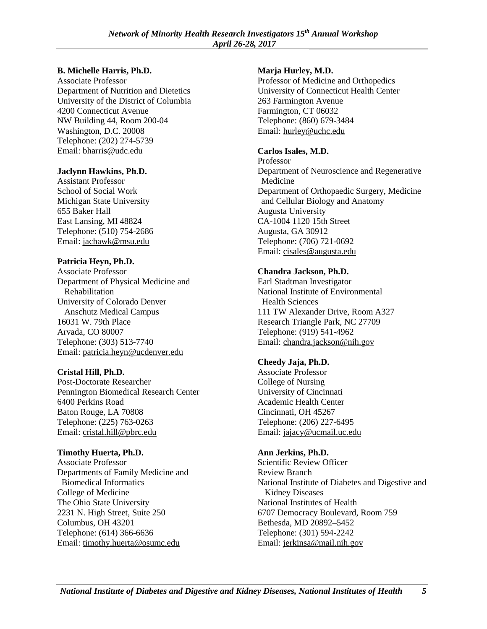#### **B. Michelle Harris, Ph.D.**

Associate Professor Department of Nutrition and Dietetics University of the District of Columbia 4200 Connecticut Avenue NW Building 44, Room 200-04 Washington, D.C. 20008 Telephone: (202) 274-5739 Email: [bharris@udc.edu](mailto:bharris@udc.edu) 

### **Jaclynn Hawkins, Ph.D.**

Assistant Professor School of Social Work Michigan State University 655 Baker Hall East Lansing, MI 48824 Telephone: (510) 754-2686 Email: [jachawk@msu.edu](mailto:jachawk@msu.edu) 

#### **Patricia Heyn, Ph.D.**

Associate Professor Department of Physical Medicine and Rehabilitation University of Colorado Denver Anschutz Medical Campus 16031 W. 79th Place Arvada, CO 80007 Telephone: (303) 513-7740 Email: [patricia.heyn@ucdenver.edu](mailto:patricia.heyn@ucdenver.edu) 

### **Cristal Hill, Ph.D.**

Post-Doctorate Researcher Pennington Biomedical Research Center 6400 Perkins Road Baton Rouge, LA 70808 Telephone: (225) 763-0263 Email: [cristal.hill@pbrc.edu](mailto:cristal.hill@pbrc.edu) 

#### **Timothy Huerta, Ph.D.**

Associate Professor Departments of Family Medicine and Biomedical Informatics College of Medicine The Ohio State University 2231 N. High Street, Suite 250 Columbus, OH 43201 Telephone: (614) 366-6636 Email: [timothy.huerta@osumc.edu](mailto:timothy.huerta@osumc.edu) 

### **Marja Hurley, M.D.**

Professor of Medicine and Orthopedics University of Connecticut Health Center 263 Farmington Avenue Farmington, CT 06032 Telephone: (860) 679-3484 Email: [hurley@uchc.edu](mailto:hurley@uchc.edu) 

#### **Carlos Isales, M.D.**

Professor Department of Neuroscience and Regenerative Medicine Department of Orthopaedic Surgery, Medicine and Cellular Biology and Anatomy Augusta University CA-1004 1120 15th Street Augusta, GA 30912 Telephone: (706) 721-0692 Email: [cisales@augusta.edu](mailto:cisales@augusta.edu) 

#### **Chandra Jackson, Ph.D.**

Earl Stadtman Investigator National Institute of Environmental Health Sciences 111 TW Alexander Drive, Room A327 Research Triangle Park, NC 27709 Telephone: (919) 541-4962 Email: [chandra.jackson@nih.gov](mailto:chandra.jackson@nih.gov) 

## **Cheedy Jaja, Ph.D.**

Associate Professor College of Nursing University of Cincinnati Academic Health Center Cincinnati, OH 45267 Telephone: (206) 227-6495 Email: [jajacy@ucmail.uc.edu](mailto:jajacy@ucmail.uc.edu) 

#### **Ann Jerkins, Ph.D.**

Scientific Review Officer Review Branch National Institute of Diabetes and Digestive and Kidney Diseases National Institutes of Health 6707 Democracy Boulevard, Room 759 Bethesda, MD 20892–5452 Telephone: (301) 594-2242 Email: [jerkinsa@mail.nih.gov](mailto:jerkinsa@mail.nih.gov)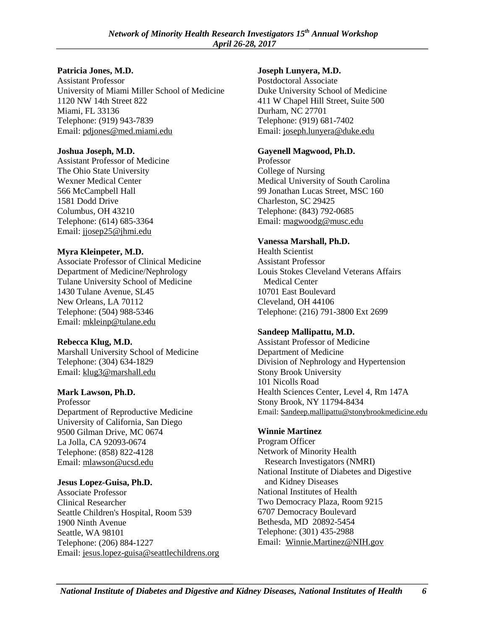#### **Patricia Jones, M.D.**

Assistant Professor University of Miami Miller School of Medicine 1120 NW 14th Street 822 Miami, FL 33136 Telephone: (919) 943-7839 Email: [pdjones@med.miami.edu](mailto:pdjones@med.miami.edu) 

#### **Joshua Joseph, M.D.**

Assistant Professor of Medicine The Ohio State University Wexner Medical Center 566 McCampbell Hall 1581 Dodd Drive Columbus, OH 43210 Telephone: (614) 685-3364 Email: [jjosep25@jhmi.edu](mailto:jjosep25@jhmi.edu) 

### **Myra Kleinpeter, M.D.**

Associate Professor of Clinical Medicine Department of Medicine/Nephrology Tulane University School of Medicine 1430 Tulane Avenue, SL45 New Orleans, LA 70112 Telephone: (504) 988-5346 Email: [mkleinp@tulane.edu](mailto:mkleinp@tulane.edu) 

#### **Rebecca Klug, M.D.**

Marshall University School of Medicine Telephone: (304) 634-1829 Email: [klug3@marshall.edu](mailto:klug3@marshall.edu) 

#### **Mark Lawson, Ph.D.**

Professor Department of Reproductive Medicine University of California, San Diego 9500 Gilman Drive, MC 0674 La Jolla, CA 92093-0674 Telephone: (858) 822-4128 Email: [mlawson@ucsd.edu](mailto:mlawson@ucsd.edu) 

### **Jesus Lopez-Guisa, Ph.D.**

Associate Professor Clinical Researcher Seattle Children's Hospital, Room 539 1900 Ninth Avenue Seattle, WA 98101 Telephone: (206) 884-1227 Email: [jesus.lopez-guisa@seattlechildrens.org](mailto:jesus.lopez-guisa@seattlechildrens.org) 

## **Joseph Lunyera, M.D.**

Postdoctoral Associate Duke University School of Medicine 411 W Chapel Hill Street, Suite 500 Durham, NC 27701 Telephone: (919) 681-7402 Email: [joseph.lunyera@duke.edu](mailto:joseph.lunyera@duke.edu) 

## **Gayenell Magwood, Ph.D.**

Professor College of Nursing Medical University of South Carolina 99 Jonathan Lucas Street, MSC 160 Charleston, SC 29425 Telephone: (843) 792-0685 Email: [magwoodg@musc.edu](mailto:magwoodg@musc.edu) 

### **Vanessa Marshall, Ph.D.**

Health Scientist Assistant Professor Louis Stokes Cleveland Veterans Affairs Medical Center 10701 East Boulevard Cleveland, OH 44106 Telephone: (216) 791-3800 Ext 2699

### **Sandeep Mallipattu, M.D.**

Assistant Professor of Medicine Department of Medicine Division of Nephrology and Hypertension Stony Brook University 101 Nicolls Road Health Sciences Center, Level 4, Rm 147A Stony Brook, NY 11794-8434 Email: [Sandeep.mallipattu@stonybrookmedicine.edu](mailto:Sandeep.mallipattu@stonybrookmedicine.edu) 

### **Winnie Martinez**

Program Officer Network of Minority Health Research Investigators (NMRI) National Institute of Diabetes and Digestive and Kidney Diseases National Institutes of Health Two Democracy Plaza, Room 9215 6707 Democracy Boulevard Bethesda, MD 20892-5454 Telephone: (301) 435-2988 Email: [Winnie.Martinez@NIH.gov](mailto:Winnie.Martinez@NIH.gov)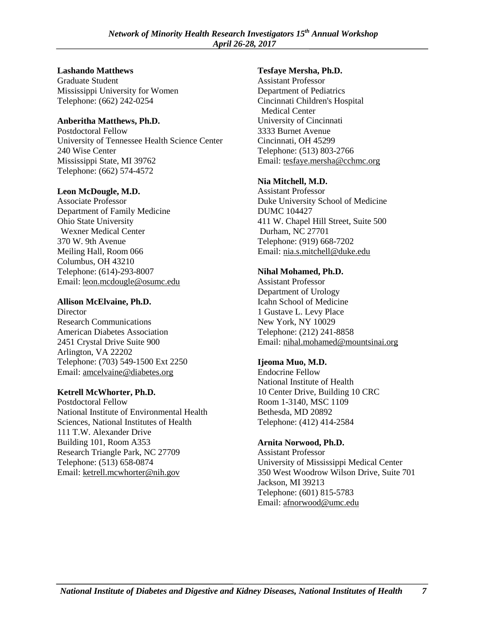#### **Lashando Matthews**

Graduate Student Mississippi University for Women Telephone: (662) 242-0254

#### **Anberitha Matthews, Ph.D.**

Postdoctoral Fellow University of Tennessee Health Science Center 240 Wise Center Mississippi State, MI 39762 Telephone: (662) 574-4572

### **Leon McDougle, M.D.**

Associate Professor Department of Family Medicine Ohio State University Wexner Medical Center 370 W. 9th Avenue Meiling Hall, Room 066 Columbus, OH 43210 Telephone: (614)-293-8007 Email: [leon.mcdougle@osumc.edu](mailto:leon.mcdougle@osumc.edu) 

## **Allison McElvaine, Ph.D.**

**Director** Research Communications American Diabetes Association 2451 Crystal Drive Suite 900 Arlington, VA 22202 Telephone: (703) 549-1500 Ext 2250 Email: [amcelvaine@diabetes.org](mailto:amcelvaine@diabetes.org) 

### **Ketrell McWhorter, Ph.D.**

Postdoctoral Fellow National Institute of Environmental Health Sciences, National Institutes of Health 111 T.W. Alexander Drive Building 101, Room A353 Research Triangle Park, NC 27709 Telephone: (513) 658-0874 Email: [ketrell.mcwhorter@nih.gov](mailto:ketrell.mcwhorter@nih.gov) 

### **Tesfaye Mersha, Ph.D.**

Assistant Professor Department of Pediatrics Cincinnati Children's Hospital Medical Center University of Cincinnati 3333 Burnet Avenue Cincinnati, OH 45299 Telephone: (513) 803-2766 Email: [tesfaye.mersha@cchmc.org](mailto:tesfaye.mersha@cchmc.org) 

### **Nia Mitchell, M.D.**

Assistant Professor Duke University School of Medicine DUMC 104427 411 W. Chapel Hill Street, Suite 500 Durham, NC 27701 Telephone: (919) 668-7202 Email: [nia.s.mitchell@duke.edu](mailto:nia.s.mitchell@duke.edu) 

### **Nihal Mohamed, Ph.D.**

Assistant Professor Department of Urology Icahn School of Medicine 1 Gustave L. Levy Place New York, NY 10029 Telephone: (212) 241-8858 Email: [nihal.mohamed@mountsinai.org](mailto:nihal.mohamed@mountsinai.org) 

## **Ijeoma Muo, M.D.**

Endocrine Fellow National Institute of Health 10 Center Drive, Building 10 CRC Room 1-3140, MSC 1109 Bethesda, MD 20892 Telephone: (412) 414-2584

## **Arnita Norwood, Ph.D.**

Assistant Professor University of Mississippi Medical Center 350 West Woodrow Wilson Drive, Suite 701 Jackson, MI 39213 Telephone: (601) 815-5783 Email: [afnorwood@umc.edu](mailto:afnorwood@umc.edu)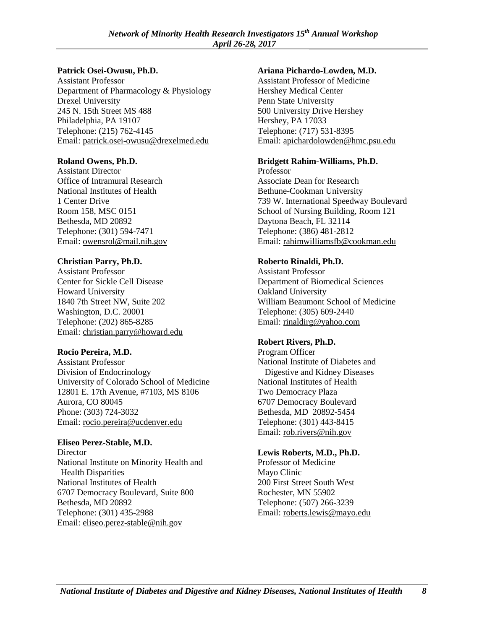#### **Patrick Osei-Owusu, Ph.D.**

Assistant Professor Department of Pharmacology & Physiology Drexel University 245 N. 15th Street MS 488 Philadelphia, PA 19107 Telephone: (215) 762-4145 Email: [patrick.osei-owusu@drexelmed.edu](mailto:patrick.osei-owusu@drexelmed.edu) 

### **Roland Owens, Ph.D.**

Assistant Director Office of Intramural Research National Institutes of Health 1 Center Drive Room 158, MSC 0151 Bethesda, MD 20892 Telephone: (301) 594-7471 Email: [owensrol@mail.nih.gov](mailto:owensrol@mail.nih.gov) 

#### **Christian Parry, Ph.D.**

Assistant Professor Center for Sickle Cell Disease Howard University 1840 7th Street NW, Suite 202 Washington, D.C. 20001 Telephone: (202) 865-8285 Email: [christian.parry@howard.edu](mailto:christian.parry@howard.edu) 

### **Rocio Pereira, M.D.**

Assistant Professor Division of Endocrinology University of Colorado School of Medicine 12801 E. 17th Avenue, #7103, MS 8106 Aurora, CO 80045 Phone: (303) 724-3032 Email: rocio.pereira@ucdenver.edu

### **Eliseo Perez-Stable, M.D.**

**Director** National Institute on Minority Health and Health Disparities National Institutes of Health 6707 Democracy Boulevard, Suite 800 Bethesda, MD 20892 Telephone: (301) 435-2988 Email: [eliseo.perez-stable@nih.gov](mailto:eliseo.perez-stable@nih.gov) 

#### **Ariana Pichardo-Lowden, M.D.**

Assistant Professor of Medicine Hershey Medical Center Penn State University 500 University Drive Hershey Hershey, PA 17033 Telephone: (717) 531-8395 Email: [apichardolowden@hmc.psu.edu](mailto:apichardolowden@hmc.psu.edu) 

### **Bridgett Rahim-Williams, Ph.D.**

Professor Associate Dean for Research Bethune-Cookman University 739 W. International Speedway Boulevard School of Nursing Building, Room 121 Daytona Beach, FL 32114 Telephone: (386) 481-2812 Email: [rahimwilliamsfb@cookman.edu](mailto:rahimwilliamsfb@cookman.edu) 

#### **Roberto Rinaldi, Ph.D.**

Assistant Professor Department of Biomedical Sciences Oakland University William Beaumont School of Medicine Telephone: (305) 609-2440 Email: [rinaldirg@yahoo.com](mailto:rinaldirg@yahoo.com) 

### **Robert Rivers, Ph.D.**

Program Officer National Institute of Diabetes and Digestive and Kidney Diseases National Institutes of Health Two Democracy Plaza 6707 Democracy Boulevard Bethesda, MD 20892-5454 Telephone: (301) 443-8415 Email: [rob.rivers@nih.gov](mailto:rob.rivers@nih.gov)

### **Lewis Roberts, M.D., Ph.D.**

Professor of Medicine Mayo Clinic 200 First Street South West Rochester, MN 55902 Telephone: (507) 266-3239 Email: [roberts.lewis@mayo.edu](mailto:roberts.lewis@mayo.edu)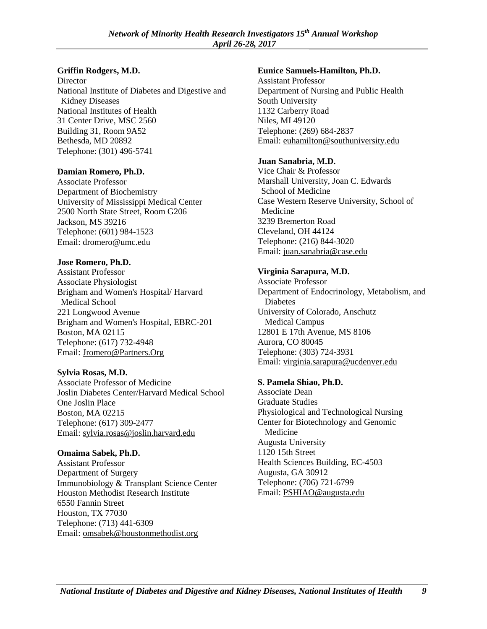#### **Griffin Rodgers, M.D.**

**Director** National Institute of Diabetes and Digestive and Kidney Diseases National Institutes of Health 31 Center Drive, MSC 2560 Building 31, Room 9A52 Bethesda, MD 20892 Telephone: (301) 496-5741

#### **Damian Romero, Ph.D.**

Associate Professor Department of Biochemistry University of Mississippi Medical Center 2500 North State Street, Room G206 Jackson, MS 39216 Telephone: (601) 984-1523 Email: [dromero@umc.edu](mailto:dromero@umc.edu) 

#### **Jose Romero, Ph.D.**

Assistant Professor Associate Physiologist Brigham and Women's Hospital/ Harvard Medical School 221 Longwood Avenue Brigham and Women's Hospital, EBRC-201 Boston, MA 02115 Telephone: (617) 732-4948 Email: [Jromero@Partners.Org](mailto:Jromero@Partners.Org) 

#### **Sylvia Rosas, M.D.**

Associate Professor of Medicine Joslin Diabetes Center/Harvard Medical School One Joslin Place Boston, MA 02215 Telephone: (617) 309-2477 Email: [sylvia.rosas@joslin.harvard.edu](mailto:sylvia.rosas@joslin.harvard.edu) 

#### **Omaima Sabek, Ph.D.**

Assistant Professor Department of Surgery Immunobiology & Transplant Science Center Houston Methodist Research Institute 6550 Fannin Street Houston, TX 77030 Telephone: (713) 441-6309 Email: [omsabek@houstonmethodist.org](mailto:omsabek@houstonmethodist.org) 

#### **Eunice Samuels-Hamilton, Ph.D.**

Assistant Professor Department of Nursing and Public Health South University 1132 Carberry Road Niles, MI 49120 Telephone: (269) 684-2837 Email: [euhamilton@southuniversity.edu](mailto:euhamilton@southuniversity.ed)

#### **Juan Sanabria, M.D.**

Vice Chair & Professor Marshall University, Joan C. Edwards School of Medicine Case Western Reserve University, School of Medicine 3239 Bremerton Road Cleveland, OH 44124 Telephone: (216) 844-3020 Email: [juan.sanabria@case.edu](mailto:juan.sanabria@case.edu) 

### **Virginia Sarapura, M.D.**

Associate Professor Department of Endocrinology, Metabolism, and Diabetes University of Colorado, Anschutz Medical Campus 12801 E 17th Avenue, MS 8106 Aurora, CO 80045 Telephone: (303) 724-3931 Email: [virginia.sarapura@ucdenver.edu](mailto:virginia.sarapura@ucdenver.edu) 

#### **S. Pamela Shiao, Ph.D.**

Associate Dean Graduate Studies Physiological and Technological Nursing Center for Biotechnology and Genomic Medicine Augusta University 1120 15th Street Health Sciences Building, EC-4503 Augusta, GA 30912 Telephone: (706) 721-6799 Email: [PSHIAO@augusta.edu](mailto:PSHIAO@augusta.edu)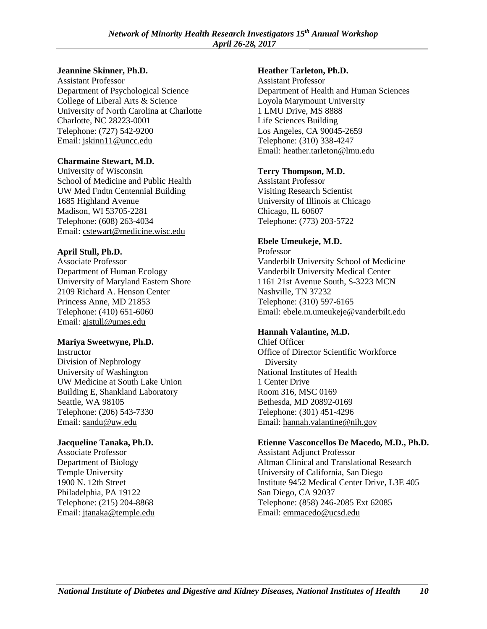#### **Jeannine Skinner, Ph.D.**

Assistant Professor Department of Psychological Science College of Liberal Arts & Science University of North Carolina at Charlotte Charlotte, NC 28223-0001 Telephone: (727) 542-9200 Email: [jskinn11@uncc.edu](mailto:jskinn11@uncc.edu) 

#### **Charmaine Stewart, M.D.**

University of Wisconsin School of Medicine and Public Health UW Med Fndtn Centennial Building 1685 Highland Avenue Madison, WI 53705-2281 Telephone: (608) 263-4034 Email: [cstewart@medicine.wisc.edu](mailto:cstewart@medicine.wisc.edu) 

### **April Stull, Ph.D.**

Associate Professor Department of Human Ecology University of Maryland Eastern Shore 2109 Richard A. Henson Center Princess Anne, MD 21853 Telephone: (410) 651-6060 Email: [ajstull@umes.edu](mailto:ajstull@umes.edu) 

#### **Mariya Sweetwyne, Ph.D.**

Instructor Division of Nephrology University of Washington UW Medicine at South Lake Union Building E, Shankland Laboratory Seattle, WA 98105 Telephone: (206) 543-7330 Email: [sandu@uw.edu](mailto:sandu@uw.edu) 

### **Jacqueline Tanaka, Ph.D.**

Associate Professor Department of Biology Temple University 1900 N. 12th Street Philadelphia, PA 19122 Telephone: (215) 204-8868 Email: [jtanaka@temple.edu](mailto:jtanaka@temple.edu) 

#### **Heather Tarleton, Ph.D.**

Assistant Professor Department of Health and Human Sciences Loyola Marymount University 1 LMU Drive, MS 8888 Life Sciences Building Los Angeles, CA 90045-2659 Telephone: (310) 338-4247 Email: [heather.tarleton@lmu.edu](mailto:heather.tarleton@lmu.edu) 

#### **Terry Thompson, M.D.**

Assistant Professor Visiting Research Scientist University of Illinois at Chicago Chicago, IL 60607 Telephone: (773) 203-5722

### **Ebele Umeukeje, M.D.**

Professor Vanderbilt University School of Medicine Vanderbilt University Medical Center 1161 21st Avenue South, S-3223 MCN Nashville, TN 37232 Telephone: (310) 597-6165 Email: [ebele.m.umeukeje@vanderbilt.edu](mailto:ebele.m.umeukeje@vanderbilt.edu) 

### **Hannah Valantine, M.D.**

Chief Officer Office of Director Scientific Workforce **Diversity** National Institutes of Health 1 Center Drive Room 316, MSC 0169 Bethesda, MD 20892-0169 Telephone: (301) 451-4296 Email: [hannah.valantine@nih.gov](mailto:hannah.valantine@nih.gov) 

#### **Etienne Vasconcellos De Macedo, M.D., Ph.D.**

Assistant Adjunct Professor Altman Clinical and Translational Research University of California, San Diego Institute 9452 Medical Center Drive, L3E 405 San Diego, CA 92037 Telephone: (858) 246-2085 Ext 62085 Email: [emmacedo@ucsd.edu](mailto:emmacedo@ucsd.edu)